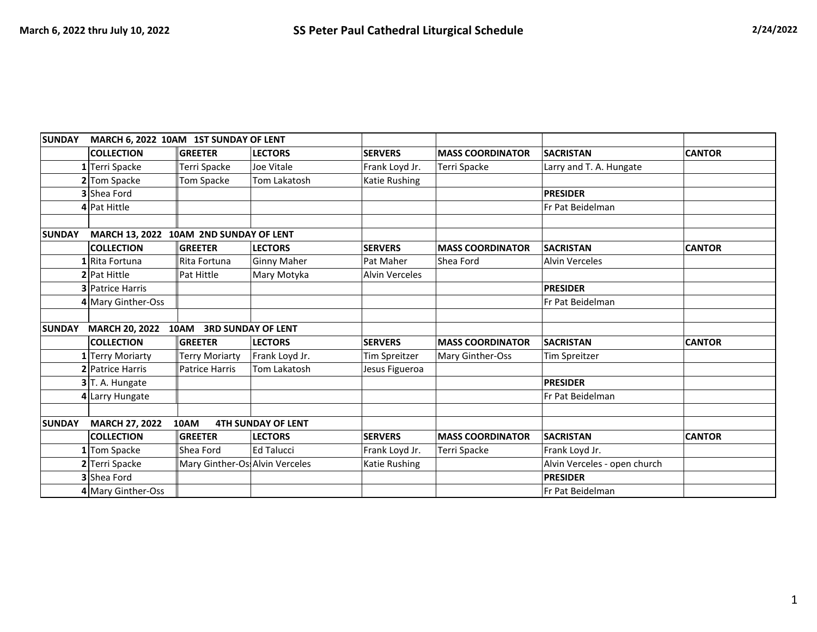| <b>SUNDAY</b> | MARCH 6, 2022 10AM 1ST SUNDAY OF LENT                      |                                 |                           |                       |                         |                              |               |
|---------------|------------------------------------------------------------|---------------------------------|---------------------------|-----------------------|-------------------------|------------------------------|---------------|
|               | <b>COLLECTION</b>                                          | <b>GREETER</b>                  | <b>LECTORS</b>            | <b>SERVERS</b>        | <b>MASS COORDINATOR</b> | <b>SACRISTAN</b>             | <b>CANTOR</b> |
|               | $1$ Terri Spacke                                           | Terri Spacke                    | Joe Vitale                | Frank Loyd Jr.        | Terri Spacke            | Larry and T. A. Hungate      |               |
|               | 2 Tom Spacke                                               | Tom Spacke                      | Tom Lakatosh              | Katie Rushing         |                         |                              |               |
|               | <b>3</b> Shea Ford                                         |                                 |                           |                       |                         | <b>PRESIDER</b>              |               |
|               | 4 Pat Hittle                                               |                                 |                           |                       |                         | Fr Pat Beidelman             |               |
|               |                                                            |                                 |                           |                       |                         |                              |               |
| <b>SUNDAY</b> | MARCH 13, 2022 10AM 2ND SUNDAY OF LENT                     |                                 |                           |                       |                         |                              |               |
|               | <b>COLLECTION</b>                                          | <b>GREETER</b>                  | <b>LECTORS</b>            | <b>SERVERS</b>        | <b>MASS COORDINATOR</b> | <b>SACRISTAN</b>             | <b>CANTOR</b> |
|               | 1 Rita Fortuna                                             | Rita Fortuna                    | <b>Ginny Maher</b>        | Pat Maher             | Shea Ford               | <b>Alvin Verceles</b>        |               |
|               | 2 Pat Hittle                                               | Pat Hittle                      | Mary Motyka               | <b>Alvin Verceles</b> |                         |                              |               |
|               | <b>3</b> Patrice Harris                                    |                                 |                           |                       |                         | <b>PRESIDER</b>              |               |
|               | 4 Mary Ginther-Oss                                         |                                 |                           |                       |                         | Fr Pat Beidelman             |               |
| <b>SUNDAY</b> | <b>MARCH 20, 2022</b>                                      | 10AM                            | <b>3RD SUNDAY OF LENT</b> |                       |                         |                              |               |
|               | <b>COLLECTION</b>                                          | $\overline{\mathsf{I}}$ GREETER | <b>LECTORS</b>            | <b>SERVERS</b>        | <b>MASS COORDINATOR</b> | <b>SACRISTAN</b>             | <b>CANTOR</b> |
|               | 1 Terry Moriarty                                           | <b>Terry Moriarty</b>           | Frank Loyd Jr.            | Tim Spreitzer         | Mary Ginther-Oss        | <b>Tim Spreitzer</b>         |               |
|               | <b>2</b> Patrice Harris                                    | Patrice Harris                  | Tom Lakatosh              | Jesus Figueroa        |                         |                              |               |
|               | 3 <sup>T.</sup> A. Hungate                                 |                                 |                           |                       |                         | <b>PRESIDER</b>              |               |
|               | 4 Larry Hungate                                            |                                 |                           |                       |                         | Fr Pat Beidelman             |               |
|               |                                                            |                                 |                           |                       |                         |                              |               |
| <b>SUNDAY</b> | <b>4TH SUNDAY OF LENT</b><br><b>MARCH 27, 2022</b><br>10AM |                                 |                           |                       |                         |                              |               |
|               | <b>COLLECTION</b>                                          | $\overline{\mathsf{I}}$ GREETER | <b>LECTORS</b>            | <b>SERVERS</b>        | <b>MASS COORDINATOR</b> | <b>SACRISTAN</b>             | <b>CANTOR</b> |
|               | 1 Tom Spacke                                               | <b>Shea Ford</b>                | <b>Ed Talucci</b>         | Frank Loyd Jr.        | Terri Spacke            | Frank Loyd Jr.               |               |
|               | 2 Terri Spacke                                             | Mary Ginther-Os Alvin Verceles  |                           | Katie Rushing         |                         | Alvin Verceles - open church |               |
|               | <b>3</b> Shea Ford                                         |                                 |                           |                       |                         | <b>PRESIDER</b>              |               |
|               | 4 Mary Ginther-Oss                                         |                                 |                           |                       |                         | Fr Pat Beidelman             |               |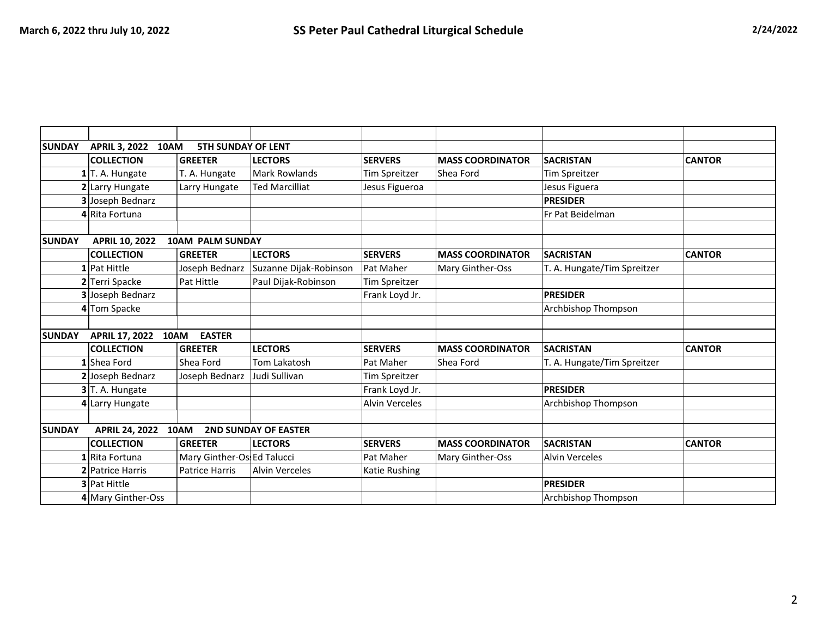| <b>SUNDAY</b><br><b>APRIL 3, 2022</b><br><b>5TH SUNDAY OF LENT</b><br>10AM |                       |                            |                             |                       |                         |                             |               |
|----------------------------------------------------------------------------|-----------------------|----------------------------|-----------------------------|-----------------------|-------------------------|-----------------------------|---------------|
|                                                                            | <b>COLLECTION</b>     | <b>GREETER</b>             | <b>LECTORS</b>              | <b>SERVERS</b>        | <b>MASS COORDINATOR</b> | <b>SACRISTAN</b>            | <b>CANTOR</b> |
|                                                                            | $1$ T. A. Hungate     | T. A. Hungate              | Mark Rowlands               | <b>Tim Spreitzer</b>  | Shea Ford               | <b>Tim Spreitzer</b>        |               |
|                                                                            | 2 Larry Hungate       | Larry Hungate              | <b>Ted Marcilliat</b>       | Jesus Figueroa        |                         | Jesus Figuera               |               |
|                                                                            | 3 Joseph Bednarz      |                            |                             |                       |                         | <b>PRESIDER</b>             |               |
|                                                                            | 4 Rita Fortuna        |                            |                             |                       |                         | Fr Pat Beidelman            |               |
|                                                                            |                       |                            |                             |                       |                         |                             |               |
| <b>SUNDAY</b>                                                              | <b>APRIL 10, 2022</b> | <b>10AM PALM SUNDAY</b>    |                             |                       |                         |                             |               |
|                                                                            | <b>COLLECTION</b>     | <b>GREETER</b>             | <b>LECTORS</b>              | <b>SERVERS</b>        | <b>MASS COORDINATOR</b> | <b>SACRISTAN</b>            | <b>CANTOR</b> |
|                                                                            | $1$ Pat Hittle        | Joseph Bednarz             | Suzanne Dijak-Robinson      | Pat Maher             | Mary Ginther-Oss        | T. A. Hungate/Tim Spreitzer |               |
|                                                                            | 2 Terri Spacke        | Pat Hittle                 | Paul Dijak-Robinson         | Tim Spreitzer         |                         |                             |               |
|                                                                            | 3 Joseph Bednarz      |                            |                             | Frank Loyd Jr.        |                         | <b>PRESIDER</b>             |               |
|                                                                            | 4 Tom Spacke          |                            |                             |                       |                         | Archbishop Thompson         |               |
|                                                                            |                       |                            |                             |                       |                         |                             |               |
| <b>SUNDAY</b><br><b>APRIL 17, 2022</b><br>10AM<br><b>EASTER</b>            |                       |                            |                             |                       |                         |                             |               |
|                                                                            | <b>COLLECTION</b>     | GREETER                    | <b>LECTORS</b>              | <b>SERVERS</b>        | <b>MASS COORDINATOR</b> | <b>SACRISTAN</b>            | <b>CANTOR</b> |
|                                                                            | 1 Shea Ford           | Shea Ford                  | Tom Lakatosh                | Pat Maher             | Shea Ford               | T. A. Hungate/Tim Spreitzer |               |
|                                                                            | 2 Joseph Bednarz      | Joseph Bednarz             | Judi Sullivan               | Tim Spreitzer         |                         |                             |               |
|                                                                            | 3 T. A. Hungate       |                            |                             | Frank Loyd Jr.        |                         | <b>PRESIDER</b>             |               |
|                                                                            | 4 Larry Hungate       |                            |                             | <b>Alvin Verceles</b> |                         | Archbishop Thompson         |               |
|                                                                            |                       |                            |                             |                       |                         |                             |               |
| <b>SUNDAY</b>                                                              | <b>APRIL 24, 2022</b> | 10AM                       | <b>2ND SUNDAY OF EASTER</b> |                       |                         |                             |               |
|                                                                            | <b>COLLECTION</b>     | <b>GREETER</b>             | <b>LECTORS</b>              | <b>SERVERS</b>        | <b>MASS COORDINATOR</b> | <b>SACRISTAN</b>            | <b>CANTOR</b> |
|                                                                            | 1 Rita Fortuna        | Mary Ginther-Os Ed Talucci |                             | Pat Maher             | Mary Ginther-Oss        | <b>Alvin Verceles</b>       |               |
|                                                                            | 2 Patrice Harris      | <b>Patrice Harris</b>      | <b>Alvin Verceles</b>       | Katie Rushing         |                         |                             |               |
|                                                                            | <b>3</b> Pat Hittle   |                            |                             |                       |                         | <b>PRESIDER</b>             |               |
|                                                                            | 4 Mary Ginther-Oss    |                            |                             |                       |                         | Archbishop Thompson         |               |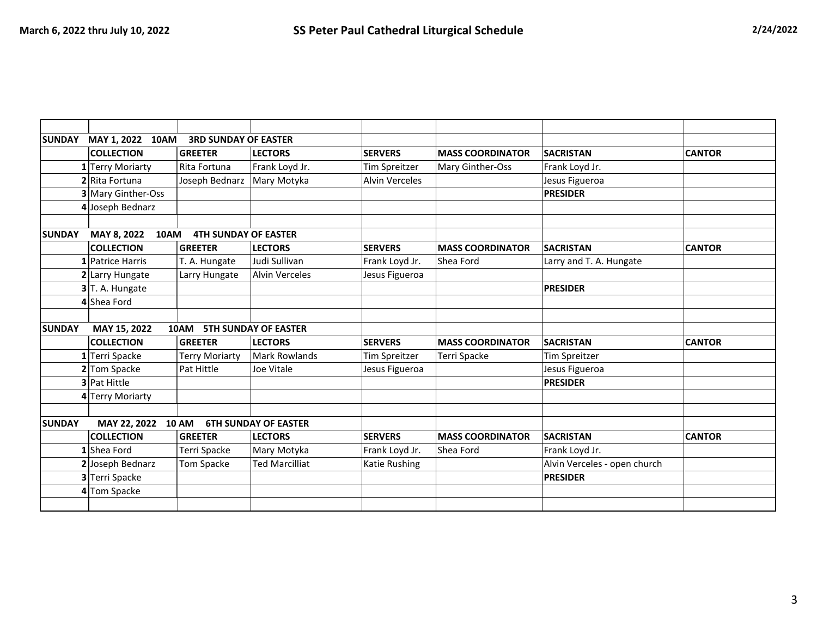| <b>SUNDAY</b>                                                        | MAY 1, 2022 10AM<br><b>3RD SUNDAY OF EASTER</b> |                             |                             |                       |                         |                              |               |  |  |
|----------------------------------------------------------------------|-------------------------------------------------|-----------------------------|-----------------------------|-----------------------|-------------------------|------------------------------|---------------|--|--|
|                                                                      | <b>COLLECTION</b>                               | <b>GREETER</b>              | <b>LECTORS</b>              | <b>SERVERS</b>        | <b>MASS COORDINATOR</b> | <b>SACRISTAN</b>             | <b>CANTOR</b> |  |  |
|                                                                      | 1 Terry Moriarty                                | Rita Fortuna                | Frank Loyd Jr.              | <b>Tim Spreitzer</b>  | Mary Ginther-Oss        | Frank Loyd Jr.               |               |  |  |
|                                                                      | 2 Rita Fortuna                                  | Joseph Bednarz              | Mary Motyka                 | <b>Alvin Verceles</b> |                         | Jesus Figueroa               |               |  |  |
|                                                                      | 3 Mary Ginther-Oss                              |                             |                             |                       |                         | <b>PRESIDER</b>              |               |  |  |
|                                                                      | 4 Joseph Bednarz                                |                             |                             |                       |                         |                              |               |  |  |
|                                                                      |                                                 |                             |                             |                       |                         |                              |               |  |  |
| <b>SUNDAY</b>                                                        | MAY 8, 2022<br>10AM                             | <b>4TH SUNDAY OF EASTER</b> |                             |                       |                         |                              |               |  |  |
|                                                                      | <b>COLLECTION</b>                               | <b>GREETER</b>              | <b>LECTORS</b>              | <b>SERVERS</b>        | <b>MASS COORDINATOR</b> | <b>SACRISTAN</b>             | <b>CANTOR</b> |  |  |
|                                                                      | 1 Patrice Harris                                | T. A. Hungate               | Judi Sullivan               | Frank Loyd Jr.        | Shea Ford               | Larry and T. A. Hungate      |               |  |  |
|                                                                      | 2 Larry Hungate                                 | Larry Hungate               | <b>Alvin Verceles</b>       | Jesus Figueroa        |                         |                              |               |  |  |
|                                                                      | $3$ T. A. Hungate                               |                             |                             |                       |                         | <b>PRESIDER</b>              |               |  |  |
|                                                                      | 4 Shea Ford                                     |                             |                             |                       |                         |                              |               |  |  |
|                                                                      |                                                 |                             |                             |                       |                         |                              |               |  |  |
| <b>SUNDAY</b><br>MAY 15, 2022<br><b>5TH SUNDAY OF EASTER</b><br>10AM |                                                 |                             |                             |                       |                         |                              |               |  |  |
|                                                                      | <b>COLLECTION</b>                               | GREETER                     | <b>LECTORS</b>              | <b>SERVERS</b>        | <b>MASS COORDINATOR</b> | <b>SACRISTAN</b>             | <b>CANTOR</b> |  |  |
|                                                                      | 1 Terri Spacke                                  | Terry Moriarty              | <b>Mark Rowlands</b>        | <b>Tim Spreitzer</b>  | Terri Spacke            | <b>Tim Spreitzer</b>         |               |  |  |
|                                                                      | 2 Tom Spacke                                    | Pat Hittle                  | Joe Vitale                  | Jesus Figueroa        |                         | Jesus Figueroa               |               |  |  |
|                                                                      | 3 Pat Hittle                                    |                             |                             |                       |                         | <b>PRESIDER</b>              |               |  |  |
|                                                                      | 4 Terry Moriarty                                |                             |                             |                       |                         |                              |               |  |  |
|                                                                      |                                                 |                             |                             |                       |                         |                              |               |  |  |
| <b>SUNDAY</b>                                                        | MAY 22, 2022 10 AM                              |                             | <b>6TH SUNDAY OF EASTER</b> |                       |                         |                              |               |  |  |
|                                                                      | <b>COLLECTION</b>                               | <b>GREETER</b>              | <b>LECTORS</b>              | <b>SERVERS</b>        | <b>MASS COORDINATOR</b> | <b>SACRISTAN</b>             | <b>CANTOR</b> |  |  |
|                                                                      | 1 Shea Ford                                     | <b>Terri Spacke</b>         | Mary Motyka                 | Frank Loyd Jr.        | Shea Ford               | Frank Loyd Jr.               |               |  |  |
|                                                                      | 2 Joseph Bednarz                                | <b>Tom Spacke</b>           | <b>Ted Marcilliat</b>       | Katie Rushing         |                         | Alvin Verceles - open church |               |  |  |
|                                                                      | 3 Terri Spacke                                  |                             |                             |                       |                         | <b>PRESIDER</b>              |               |  |  |
|                                                                      | 4 Tom Spacke                                    |                             |                             |                       |                         |                              |               |  |  |
|                                                                      |                                                 |                             |                             |                       |                         |                              |               |  |  |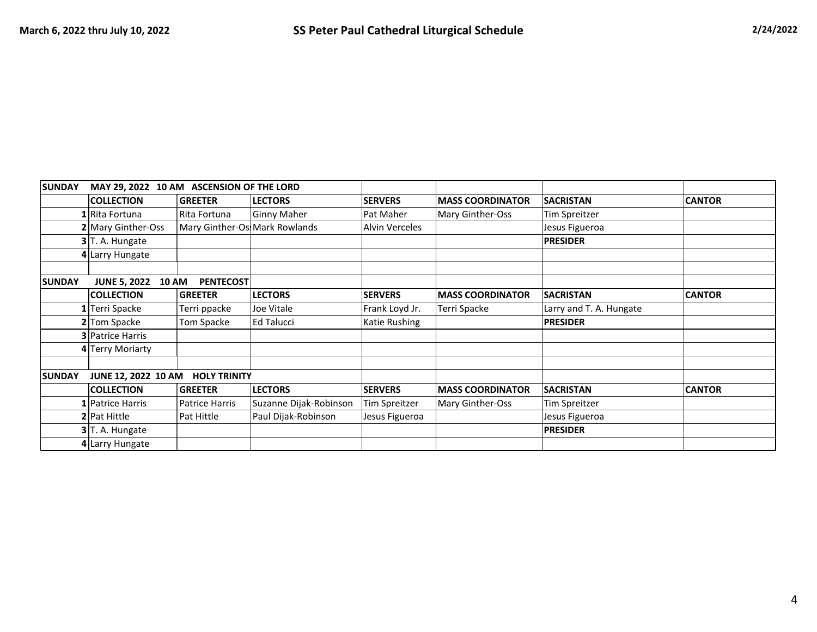| <b>SUNDAY</b><br>MAY 29, 2022 10 AM ASCENSION OF THE LORD |                                     |                                |                        |                       |                         |                         |               |
|-----------------------------------------------------------|-------------------------------------|--------------------------------|------------------------|-----------------------|-------------------------|-------------------------|---------------|
|                                                           | <b>COLLECTION</b>                   | <b>GREETER</b>                 | <b>LECTORS</b>         | <b>SERVERS</b>        | <b>MASS COORDINATOR</b> | <b>SACRISTAN</b>        | <b>CANTOR</b> |
|                                                           | 1 Rita Fortuna                      | Rita Fortuna                   | <b>Ginny Maher</b>     | Pat Maher             | Mary Ginther-Oss        | Tim Spreitzer           |               |
|                                                           | 2 Mary Ginther-Oss                  | Mary Ginther-Os: Mark Rowlands |                        | <b>Alvin Verceles</b> |                         | Jesus Figueroa          |               |
|                                                           | $3$ T. A. Hungate                   |                                |                        |                       |                         | <b>PRESIDER</b>         |               |
|                                                           | 4 Larry Hungate                     |                                |                        |                       |                         |                         |               |
| <b>SUNDAY</b>                                             | <b>JUNE 5, 2022</b><br><b>10 AM</b> | <b>PENTECOST</b>               |                        |                       |                         |                         |               |
|                                                           | <b>COLLECTION</b>                   | <b>GREETER</b>                 | <b>LECTORS</b>         | <b>SERVERS</b>        | <b>MASS COORDINATOR</b> | <b>SACRISTAN</b>        | <b>CANTOR</b> |
|                                                           | 1 Terri Spacke                      | Terri ppacke                   | Joe Vitale             | Frank Loyd Jr.        | Terri Spacke            | Larry and T. A. Hungate |               |
|                                                           | 2 Tom Spacke                        | Tom Spacke                     | <b>Ed Talucci</b>      | Katie Rushing         |                         | <b>PRESIDER</b>         |               |
|                                                           | <b>3</b> Patrice Harris             |                                |                        |                       |                         |                         |               |
|                                                           | 4 Terry Moriarty                    |                                |                        |                       |                         |                         |               |
| <b>SUNDAY</b>                                             | JUNE 12, 2022 10 AM                 | <b>HOLY TRINITY</b>            |                        |                       |                         |                         |               |
|                                                           | <b>COLLECTION</b>                   | <b>GREETER</b>                 | <b>LECTORS</b>         | <b>SERVERS</b>        | <b>MASS COORDINATOR</b> | <b>SACRISTAN</b>        | <b>CANTOR</b> |
|                                                           | 1 Patrice Harris                    | Patrice Harris                 | Suzanne Dijak-Robinson | Tim Spreitzer         | Mary Ginther-Oss        | Tim Spreitzer           |               |
|                                                           | 2 Pat Hittle                        | Pat Hittle                     | Paul Dijak-Robinson    | Jesus Figueroa        |                         | Jesus Figueroa          |               |
|                                                           | 3 T. A. Hungate                     |                                |                        |                       |                         | <b>PRESIDER</b>         |               |
|                                                           | 4 Larry Hungate                     |                                |                        |                       |                         |                         |               |